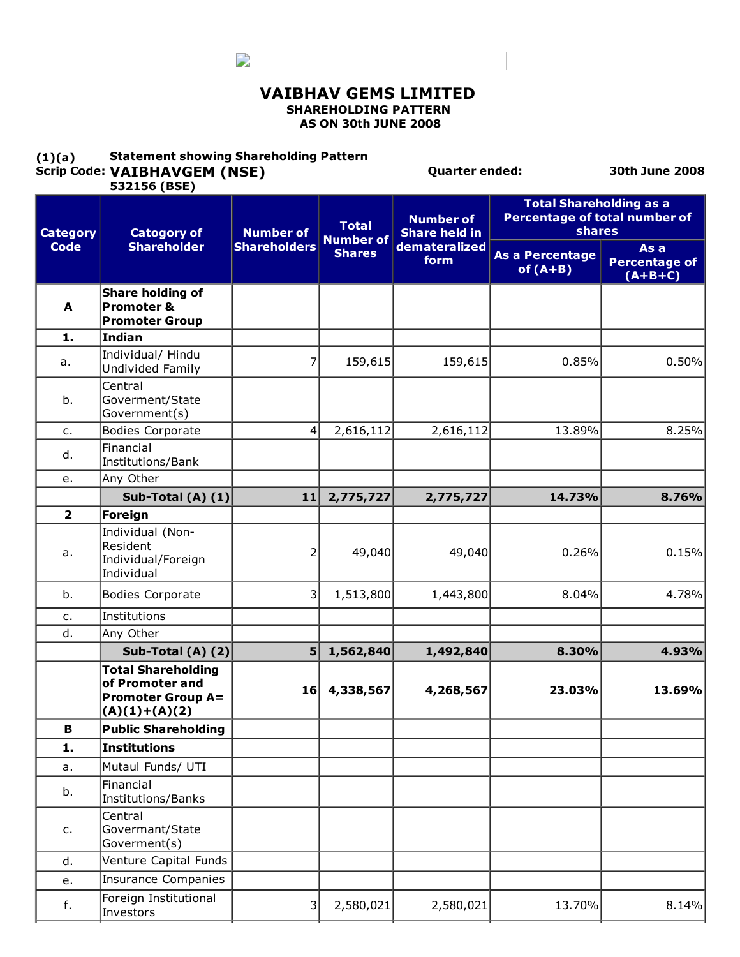D

#### VAIBHAV GEMS LIMITED SHAREHOLDING PATTERN AS ON 30th JUNE 2008

#### $(1)(a)$ Scrip Code: VAIBHAVGEM (NSE) Statement showing Shareholding Pattern

Investors

Quarter ended: 30th June 2008

| 532156 (BSE)            |                                                                                             |                     |                                                            |                                          |                                                                           |                                           |
|-------------------------|---------------------------------------------------------------------------------------------|---------------------|------------------------------------------------------------|------------------------------------------|---------------------------------------------------------------------------|-------------------------------------------|
| <b>Category</b>         | <b>Catogory of</b>                                                                          | <b>Number of</b>    | <b>Total</b>                                               | <b>Number of</b><br><b>Share held in</b> | <b>Total Shareholding as a</b><br>Percentage of total number of<br>shares |                                           |
| <b>Code</b>             | <b>Shareholder</b>                                                                          | <b>Shareholders</b> | <b>Number of</b><br>demateralized<br><b>Shares</b><br>form |                                          | <b>As a Percentage</b><br>of $(A+B)$                                      | As a<br><b>Percentage of</b><br>$(A+B+C)$ |
| A                       | <b>Share holding of</b><br><b>Promoter &amp;</b><br><b>Promoter Group</b>                   |                     |                                                            |                                          |                                                                           |                                           |
| 1.                      | <b>Indian</b>                                                                               |                     |                                                            |                                          |                                                                           |                                           |
| a.                      | Individual/ Hindu<br>Undivided Family                                                       |                     | 159,615                                                    | 159,615                                  | 0.85%                                                                     | 0.50%                                     |
| b.                      | Central<br>Goverment/State<br>Government(s)                                                 |                     |                                                            |                                          |                                                                           |                                           |
| $C_{1}$                 | <b>Bodies Corporate</b>                                                                     | $\vert 4 \vert$     | 2,616,112                                                  | 2,616,112                                | 13.89%                                                                    | 8.25%                                     |
| d.                      | Financial<br>Institutions/Bank                                                              |                     |                                                            |                                          |                                                                           |                                           |
| е.                      | Any Other                                                                                   |                     |                                                            |                                          |                                                                           |                                           |
|                         | Sub-Total (A) $(1)$                                                                         | 11                  | 2,775,727                                                  | 2,775,727                                | 14.73%                                                                    | 8.76%                                     |
| $\overline{\mathbf{2}}$ | Foreign                                                                                     |                     |                                                            |                                          |                                                                           |                                           |
| a.                      | Individual (Non-<br>Resident<br>Individual/Foreign<br>Individual                            | 2                   | 49,040                                                     | 49,040                                   | 0.26%                                                                     | 0.15%                                     |
| b.                      | <b>Bodies Corporate</b>                                                                     | 3                   | 1,513,800                                                  | 1,443,800                                | 8.04%                                                                     | 4.78%                                     |
| c.                      | Institutions                                                                                |                     |                                                            |                                          |                                                                           |                                           |
| d.                      | Any Other                                                                                   |                     |                                                            |                                          |                                                                           |                                           |
|                         | Sub-Total (A) $(2)$                                                                         | 5 <sup>1</sup>      | 1,562,840                                                  | 1,492,840                                | 8.30%                                                                     | 4.93%                                     |
|                         | <b>Total Shareholding</b><br>of Promoter and<br><b>Promoter Group A=</b><br>$(A)(1)+(A)(2)$ | 16                  | 4,338,567                                                  | 4,268,567                                | 23.03%                                                                    | 13.69%                                    |
| В                       | <b>Public Shareholding</b>                                                                  |                     |                                                            |                                          |                                                                           |                                           |
| 1.                      | <b>Institutions</b>                                                                         |                     |                                                            |                                          |                                                                           |                                           |
| a.                      | Mutaul Funds/ UTI                                                                           |                     |                                                            |                                          |                                                                           |                                           |
| b.                      | Financial<br>Institutions/Banks                                                             |                     |                                                            |                                          |                                                                           |                                           |
| c.                      | Central<br>Govermant/State<br>Goverment(s)                                                  |                     |                                                            |                                          |                                                                           |                                           |
| d.                      | Venture Capital Funds                                                                       |                     |                                                            |                                          |                                                                           |                                           |
| e.                      | <b>Insurance Companies</b>                                                                  |                     |                                                            |                                          |                                                                           |                                           |
| f.                      | Foreign Institutional                                                                       | $\overline{3}$      | 2,580,021                                                  | 2,580,021                                | 13.70%                                                                    | 8.14%                                     |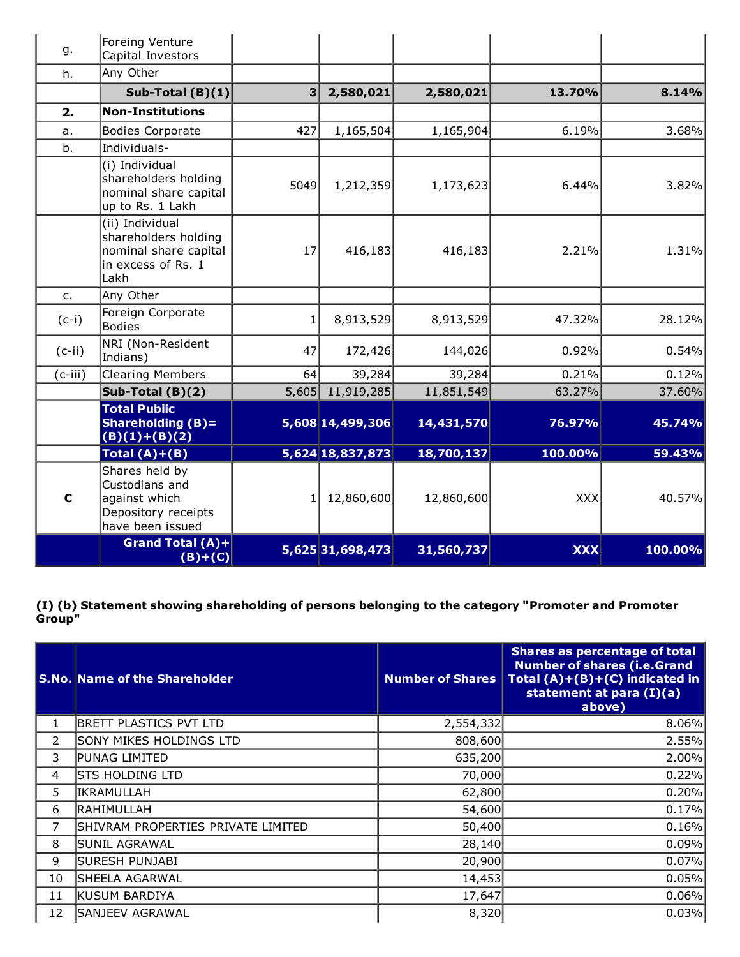| g.          | Foreing Venture<br>Capital Investors                                                           |       |                  |            |            |         |
|-------------|------------------------------------------------------------------------------------------------|-------|------------------|------------|------------|---------|
| h.          | Any Other                                                                                      |       |                  |            |            |         |
|             | Sub-Total $(B)(1)$                                                                             | 3     | 2,580,021        | 2,580,021  | 13.70%     | 8.14%   |
| 2.          | <b>Non-Institutions</b>                                                                        |       |                  |            |            |         |
| a.          | <b>Bodies Corporate</b>                                                                        | 427   | 1,165,504        | 1,165,904  | 6.19%      | 3.68%   |
| b.          | Individuals-                                                                                   |       |                  |            |            |         |
|             | (i) Individual<br>shareholders holding<br>nominal share capital<br>up to Rs. 1 Lakh            | 5049  | 1,212,359        | 1,173,623  | 6.44%      | 3.82%   |
|             | (ii) Individual<br>shareholders holding<br>nominal share capital<br>in excess of Rs. 1<br>Lakh | 17    | 416,183          | 416,183    | 2.21%      | 1.31%   |
| $C_{1}$     | Any Other                                                                                      |       |                  |            |            |         |
| $(c-i)$     | Foreign Corporate<br><b>Bodies</b>                                                             |       | 8,913,529        | 8,913,529  | 47.32%     | 28.12%  |
| $(c-ii)$    | NRI (Non-Resident<br>Indians)                                                                  | 47    | 172,426          | 144,026    | 0.92%      | 0.54%   |
| (c-iii)     | <b>Clearing Members</b>                                                                        | 64    | 39,284           | 39,284     | 0.21%      | 0.12%   |
|             | Sub-Total $(B)(2)$                                                                             | 5,605 | 11,919,285       | 11,851,549 | 63.27%     | 37.60%  |
|             | <b>Total Public</b><br>Shareholding $(B)$ =<br>$(B)(1)+(B)(2)$                                 |       | 5,608 14,499,306 | 14,431,570 | 76.97%     | 45.74%  |
|             | Total $(A)+(B)$                                                                                |       | 5,624 18,837,873 | 18,700,137 | 100.00%    | 59.43%  |
| $\mathbf c$ | Shares held by<br>Custodians and<br>against which<br>Depository receipts<br>have been issued   |       | 12,860,600       | 12,860,600 | <b>XXX</b> | 40.57%  |
|             | <b>Grand Total (A)+</b><br>$(B)+(C)$                                                           |       | 5,625 31,698,473 | 31,560,737 | <b>XXX</b> | 100.00% |

(I) (b) Statement showing shareholding of persons belonging to the category "Promoter and Promoter Group"

|    | <b>S.No. Name of the Shareholder</b> | <b>Number of Shares</b> | <b>Shares as percentage of total</b><br><b>Number of shares (i.e.Grand</b><br>Total $(A)+(B)+(C)$ indicated in<br>statement at para (I)(a)<br>above) |
|----|--------------------------------------|-------------------------|------------------------------------------------------------------------------------------------------------------------------------------------------|
| 1  | <b>BRETT PLASTICS PVT LTD</b>        | 2,554,332               | 8.06%                                                                                                                                                |
| 2  | <b>SONY MIKES HOLDINGS LTD</b>       | 808,600                 | 2.55%                                                                                                                                                |
| 3  | PUNAG LIMITED                        | 635,200                 | 2.00%                                                                                                                                                |
| 4  | <b>STS HOLDING LTD</b>               | 70,000                  | 0.22%                                                                                                                                                |
| 5  | IKRAMULLAH                           | 62,800                  | 0.20%                                                                                                                                                |
| 6  | RAHIMULLAH                           | 54,600                  | 0.17%                                                                                                                                                |
| 7  | SHIVRAM PROPERTIES PRIVATE LIMITED   | 50,400                  | 0.16%                                                                                                                                                |
| 8  | SUNIL AGRAWAL                        | 28,140                  | 0.09%                                                                                                                                                |
| 9  | SURESH PUNJABI                       | 20,900                  | 0.07%                                                                                                                                                |
| 10 | SHEELA AGARWAL                       | 14,453                  | 0.05%                                                                                                                                                |
| 11 | KUSUM BARDIYA                        | 17,647                  | 0.06%                                                                                                                                                |
| 12 | SANJEEV AGRAWAL                      | 8,320                   | 0.03%                                                                                                                                                |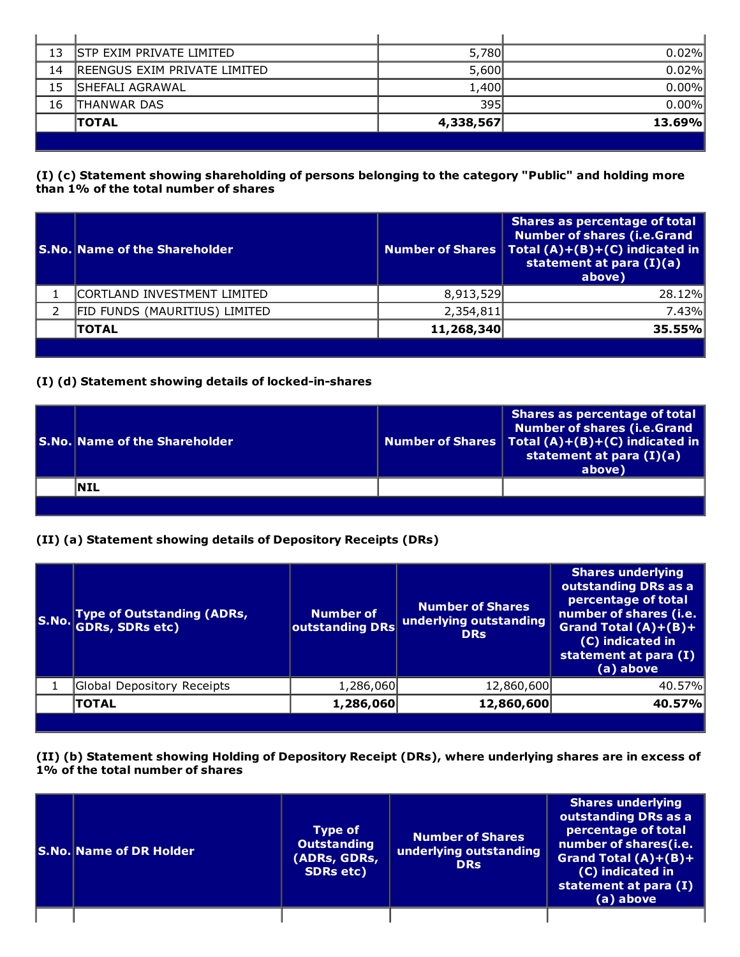| 13 | ISTP EXIM PRIVATE LIMITED     | 5,780     | 0.02%  |
|----|-------------------------------|-----------|--------|
| 14 | IREENGUS EXIM PRIVATE LIMITED | 5,600     | 0.02%  |
| 15 | <b>ISHEFALI AGRAWAL</b>       | 1,400     | 0.00%  |
| 16 | THANWAR DAS                   | 395       | 0.00%  |
|    | <b>TOTAL</b>                  | 4,338,567 | 13.69% |
|    |                               |           |        |

### (I) (c) Statement showing shareholding of persons belonging to the category "Public" and holding more than 1% of the total number of shares

| <b>S.No. Name of the Shareholder</b> |            | Shares as percentage of total<br><b>Number of shares (i.e.Grand</b><br>Number of Shares   Total $(A)+(B)+(C)$ indicated in<br>statement at para (I)(a)<br>above) |
|--------------------------------------|------------|------------------------------------------------------------------------------------------------------------------------------------------------------------------|
| ICORTLAND INVESTMENT LIMITED         | 8,913,529  | 28.12%                                                                                                                                                           |
| FID FUNDS (MAURITIUS) LIMITED        | 2,354,811  | 7.43%                                                                                                                                                            |
| <b>TOTAL</b>                         | 11,268,340 | 35.55%                                                                                                                                                           |
|                                      |            |                                                                                                                                                                  |

## (I) (d) Statement showing details of locked-in-shares

| l S.No. Name of the Shareholder | Shares as percentage of total<br><b>Number of shares (i.e.Grand</b><br>Number of Shares   Total $(A)+(B)+(C)$ indicated in<br>statement at para (I)(a)<br>above) |
|---------------------------------|------------------------------------------------------------------------------------------------------------------------------------------------------------------|
| <b>NIL</b>                      |                                                                                                                                                                  |
|                                 |                                                                                                                                                                  |

# (II) (a) Statement showing details of Depository Receipts (DRs)

| S.No. | Type of Outstanding (ADRs,<br>GDRs, SDRs etc) | Number of<br>outstanding DRs | Number of Shares<br>underlying outstanding<br><b>DRs</b> | <b>Shares underlying</b><br>outstanding DRs as a<br>percentage of total<br>number of shares (i.e.<br>Grand Total $(A)+(B)+$<br>(C) indicated in<br>statement at para (I)<br>(a) above |
|-------|-----------------------------------------------|------------------------------|----------------------------------------------------------|---------------------------------------------------------------------------------------------------------------------------------------------------------------------------------------|
|       | Global Depository Receipts                    | 1,286,060                    | 12,860,600                                               | 40.57%                                                                                                                                                                                |
|       | <b>TOTAL</b>                                  | 1,286,060                    | 12,860,600                                               | 40.57%                                                                                                                                                                                |
|       |                                               |                              |                                                          |                                                                                                                                                                                       |

(II) (b) Statement showing Holding of Depository Receipt (DRs), where underlying shares are in excess of 1% of the total number of shares

| <b>S.No. Name of DR Holder</b> | <b>Type of</b><br><b>Outstanding</b><br>(ADRs, GDRs,<br><b>SDRs</b> etc) | <b>Number of Shares</b><br>underlying outstanding<br><b>DRs</b> | <b>Shares underlying</b><br>outstanding DRs as a<br>percentage of total<br>number of shares(i.e.<br>Grand Total $(A)+(B)+$<br>(C) indicated in<br>statement at para (I)<br>(a) above |
|--------------------------------|--------------------------------------------------------------------------|-----------------------------------------------------------------|--------------------------------------------------------------------------------------------------------------------------------------------------------------------------------------|
|                                |                                                                          |                                                                 |                                                                                                                                                                                      |